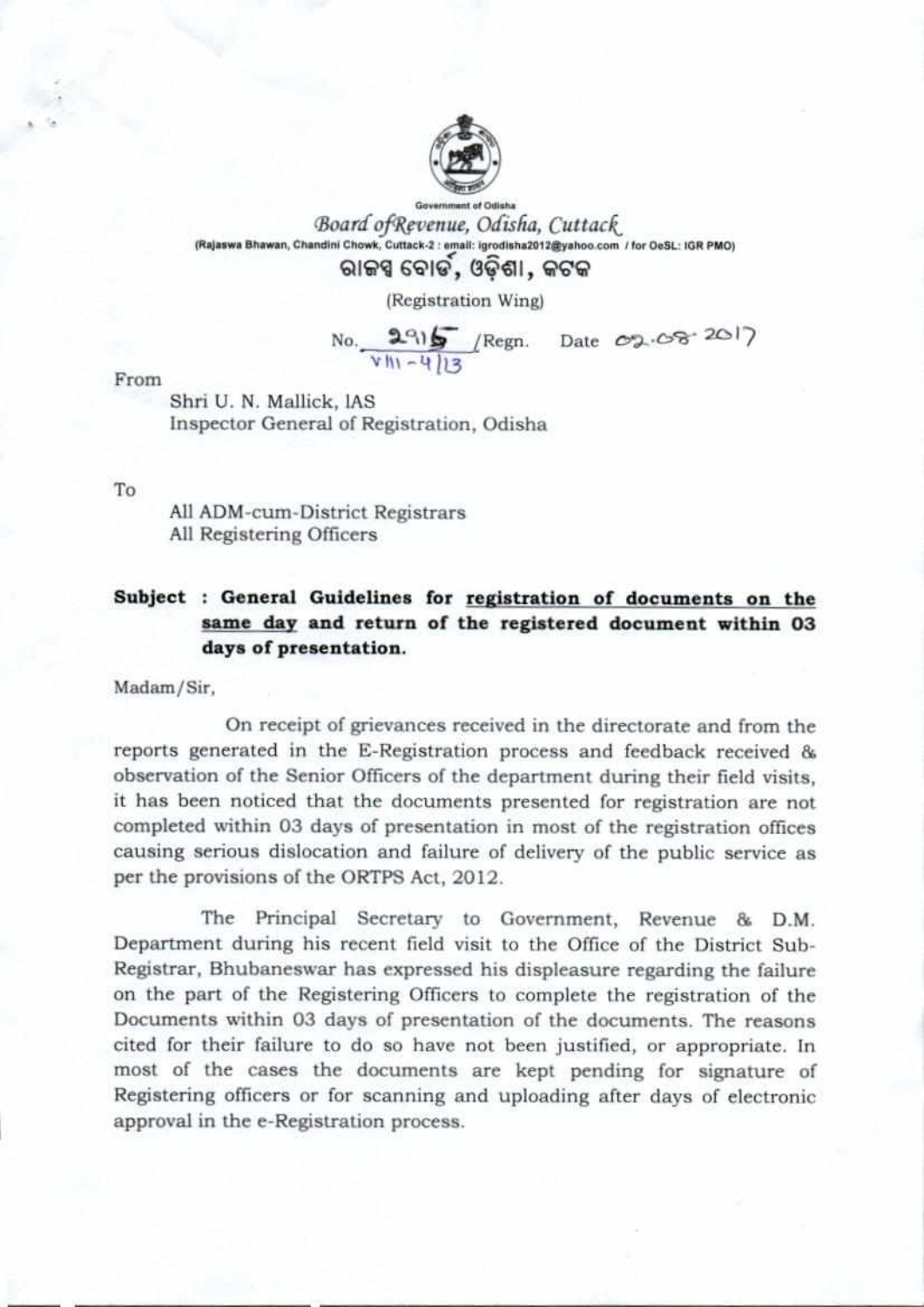

Government of Odisha Board of Revenue, Odisha, Cuttack (Rajaswa Bhawan, Chandini Chowk, Cuttack-2 : email: igrodisha2012@yahoo.com / for OeSL: IGR PMO)

# ରାଜସ୍ୱ ବୋର୍ଡ, ଓଡ଼ିଶା, କଟକ

(Registration Wing)

 $No.$  2915 / Regn. Date  $V = -413$ crp,•Oser 2o17

From

Shri U. N. Mallick, lAS Inspector General of Registration, Odisha

To

All ADM-cum-District Registrars All Registering Officers

## Subject : General Guidelines for registration of documents on the **same day and** return of the registered document within **03 days of presentation.**

Madam/Sir,

On receipt of grievances received in the directorate and from the reports generated in the E-Registration process and feedback received & observation of the Senior Officers of the department during their field visits, it has been noticed that the documents presented for registration are not completed within 03 days of presentation in most of the registration offices causing serious dislocation and failure of delivery of the public service as per the provisions of the ORTPS Act, 2012.

The Principal Secretary to Government, Revenue & **D.M.**  Department during his recent field visit to the Office of the District Sub-Registrar, Bhubaneswar has expressed his displeasure regarding the failure on the part of the Registering Officers to complete the registration of the Documents within 03 days of presentation of the documents. The reasons cited for their failure to do so have not been justified, or appropriate. In most of the cases the documents are kept pending for signature of Registering officers or for scanning and uploading after days of electronic approval in the e-Registration process.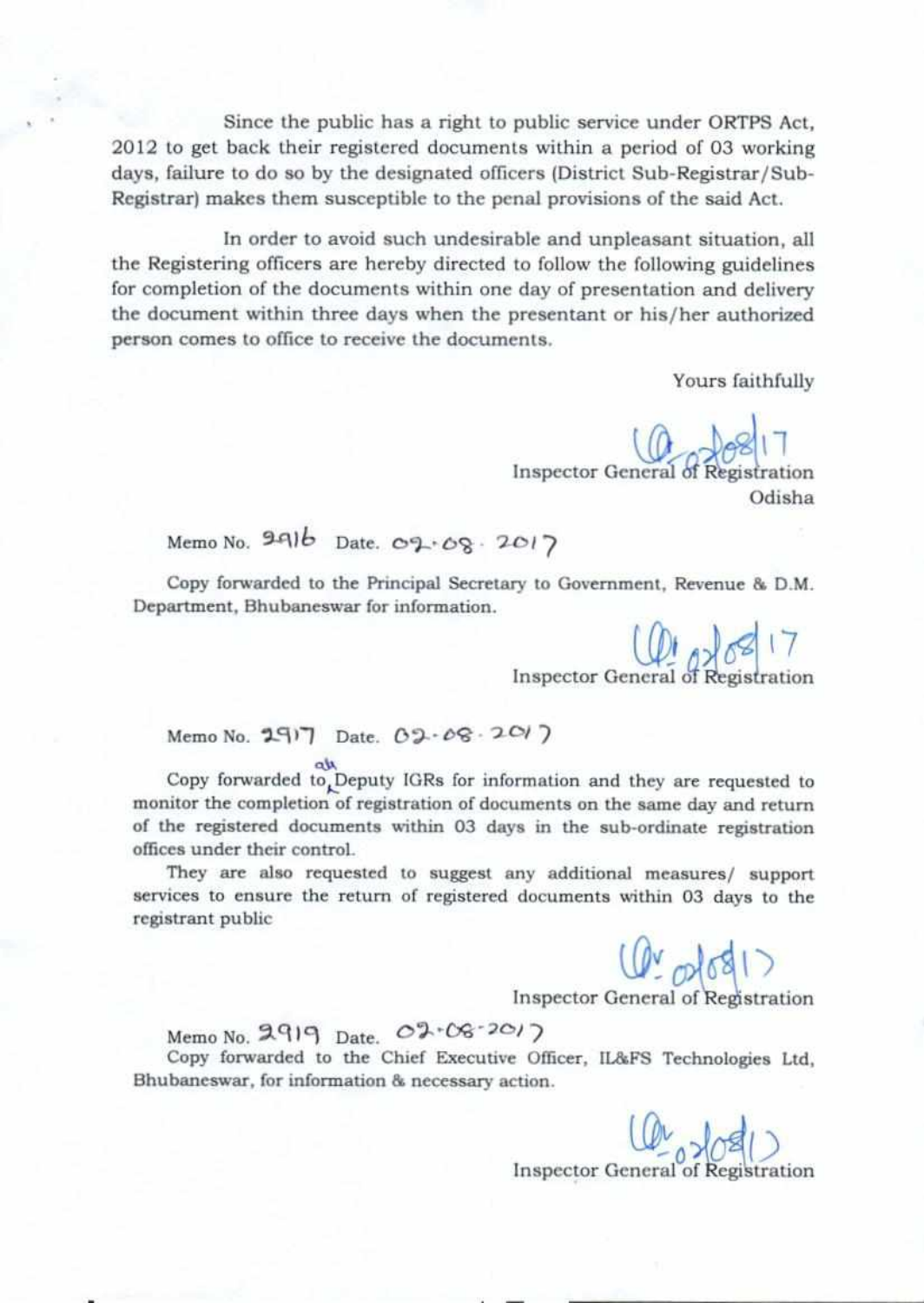Since the public has a right to public service under ORTPS Act, 2012 to get back their registered documents within a period of 03 working days, failure to do so by the designated officers (District Sub-Registrar/Sub-Registrar) makes them susceptible to the penal provisions of the said Act.

In order to avoid such undesirable and unpleasant situation, all the Registering officers are hereby directed to follow the following guidelines for completion of the documents within one day of presentation and delivery the document within three days when the presentant or his/her authorized person comes to office to receive the documents.

Yours faithfully

 $6817$ Inspector General of Registration Odisha

Memo No. 991b Date. 09-08. 2017

Copy forwarded to the Principal Secretary to Government, Revenue & D.M. Department, Bhubaneswar for information.

Inspector General of Registration

Memo No. **2917** Date. 02-08-2017

Copy forwarded to Deputy IGRs for information and they are requested to monitor the completion of registration of documents on the same day and return of the registered documents within 03 days in the sub-ordinate registration offices under their control.

They are also requested to suggest any additional measures/ support services to ensure the return of registered documents within 03 days to the registrant public

 $10^{10}$ 

Inspector General of Registration

nispe<br>Memo No. **2919** Date. 02 \* 06 <sup>- 201</sup>2 Copy forwarded to the Chief Executive Officer, IL&FS Technologies Ltd, Bhubaneswar, for information & necessary action.

> $0<sup>4</sup>$ Inspector General of Registration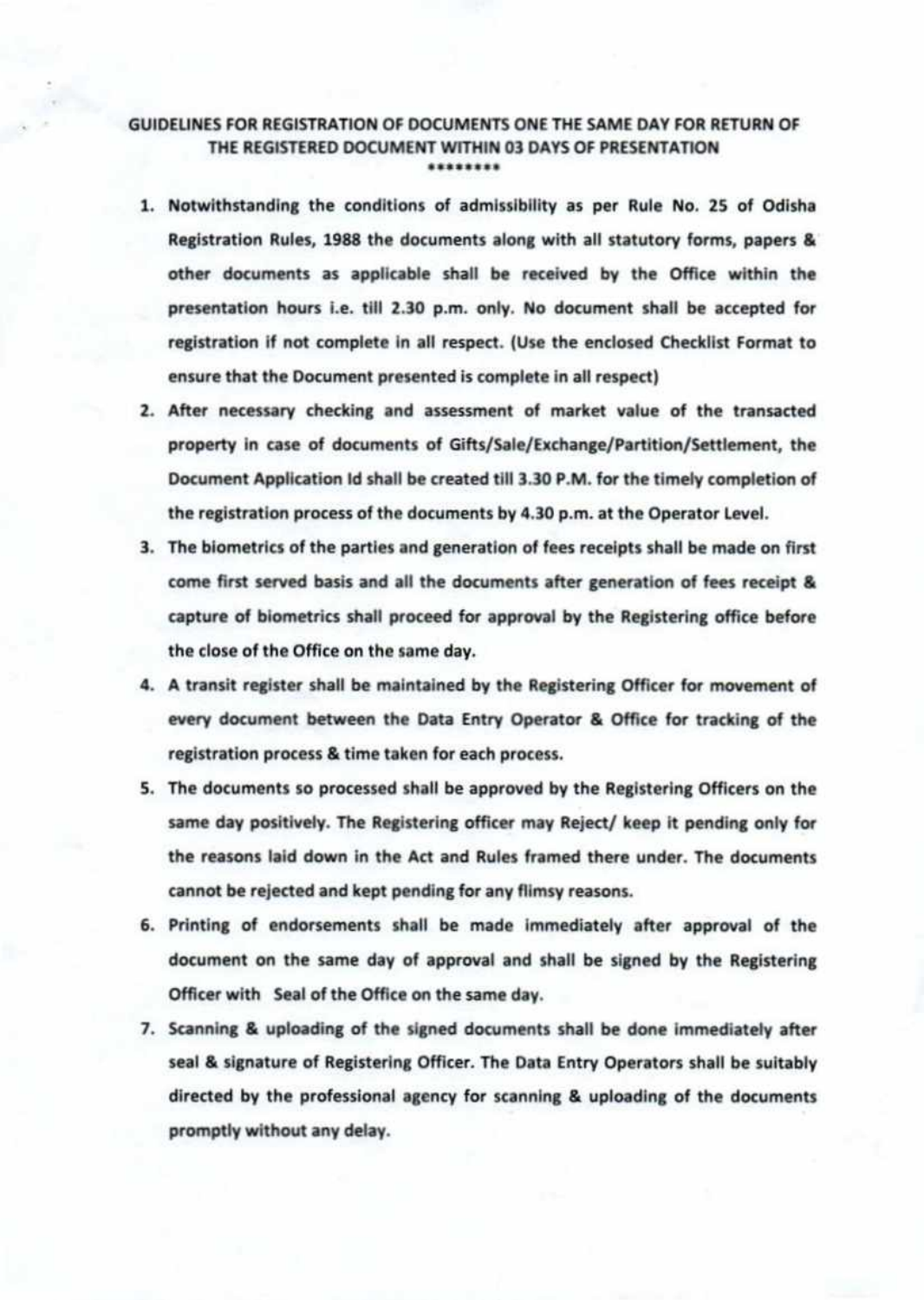#### GUIDELINES FOR REGISTRATION OF DOCUMENTS ONE THE SAME DAY FOR RETURN OF THE REGISTERED DOCUMENT WITHIN 03 DAYS OF PRESENTATION \*\*\*\*\*\*\*\*

- 1. Notwithstanding the conditions of admissibility as per Rule No. 25 of Odisha Registration Rules, 1988 the documents along with all statutory forms, papers & other documents as applicable shall be received by the Office within the presentation hours i.e. till 2.30 p.m. only. No document shall be accepted for registration if not complete in all respect. (Use the enclosed Checklist Format to ensure that the Document presented is complete in all respect)
- 2. After necessary checking and assessment of market value of the transacted property in case of documents of Gifts/Sale/Exchange/Partition/Settlement, the Document Application Id shall be created till 3.30 P.M. for the timely completion of the registration process of the documents by 4.30 p.m. at the Operator Level.
- 3. The biometrics of the parties and generation of fees receipts shall be made on first come first served basis and all the documents after generation of fees receipt & capture of biometrics shall proceed for approval by the Registering office before the close of the Office on the same day.
- 4. A transit register shall be maintained by the Registering Officer for movement of every document between the Data Entry Operator & Office for tracking of the registration process & time taken for each process.
- 5. The documents so processed shall be approved by the Registering Officers on the same day positively. The Registering officer may Reject/ keep it pending only for the reasons laid down in the Act and Rules framed there under. The documents cannot be rejected and kept pending for any flimsy reasons.
- 6. Printing of endorsements shall be made immediately after approval of the document on the same day of approval and shall be signed by the Registering Officer with Seal of the Office on the same day.
- 7. Scanning & uploading of the signed documents shall be done immediately after seal & signature of Registering Officer. The Data Entry Operators shall be suitably directed by the professional agency for scanning & uploading of the documents promptly without any delay.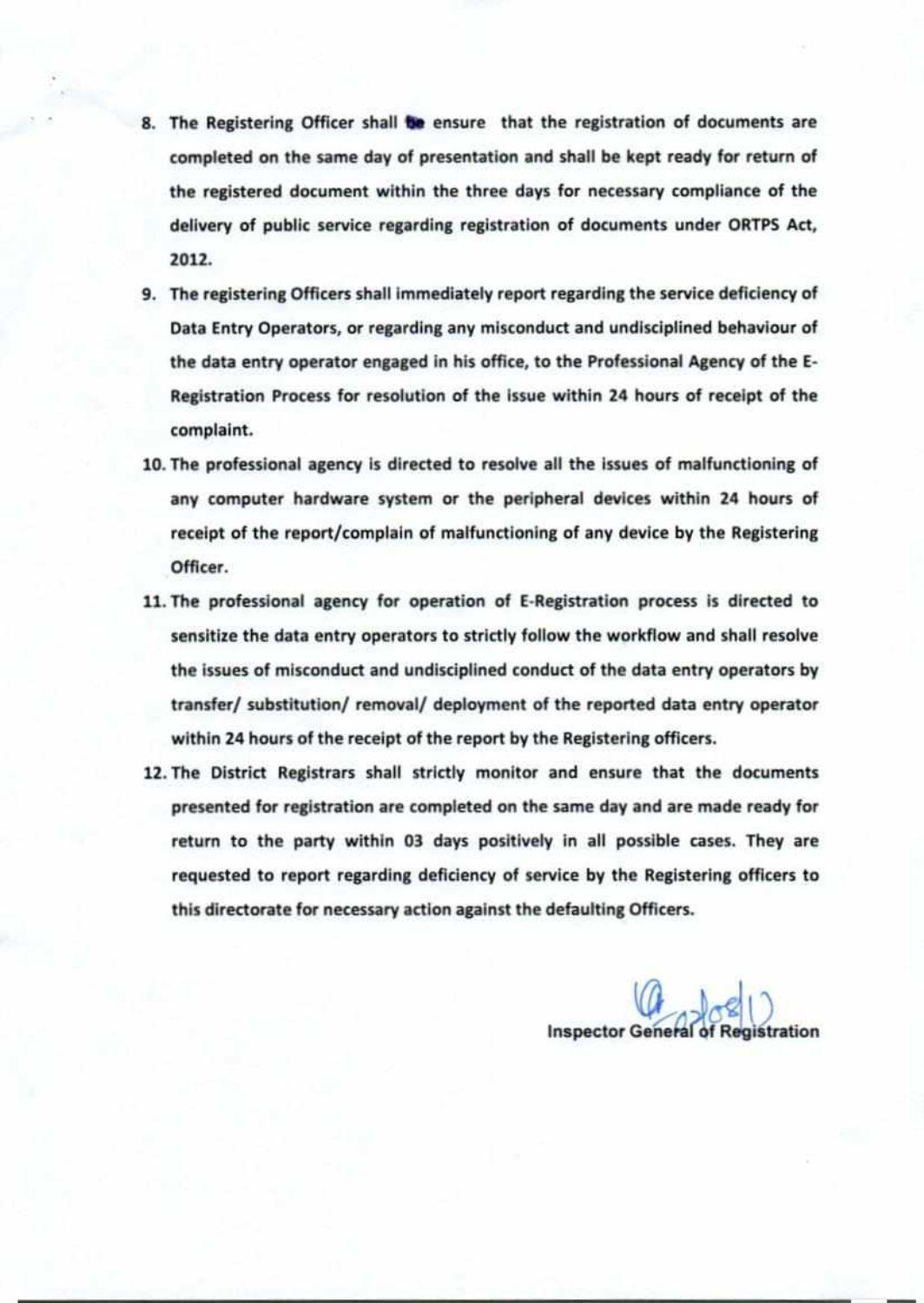- 8. The Registering Officer shall be ensure that the registration of documents are completed on the same day of presentation and shall be kept ready for return of the registered document within the three days for necessary compliance of the delivery of public service regarding registration of documents under ORTPS Act, 2012.
- 9. The registering Officers shall immediately report regarding the service deficiency of Data Entry Operators, or regarding any misconduct and undisciplined behaviour of the data entry operator engaged in his office, to the Professional Agency of the E-Registration Process for resolution of the issue within 24 hours of receipt of the complaint.
- 10. The professional agency is directed to resolve all the issues of malfunctioning of any computer hardware system or the peripheral devices within 24 hours of receipt of the report/complain of malfunctioning of any device by the Registering Officer.
- 11. The professional agency for operation of E-Registration process is directed to sensitize the data entry operators to strictly follow the workflow and shall resolve the issues of misconduct and undisciplined conduct of the data entry operators by transfer/ substitution/ removal/ deployment of the reported data entry operator within 24 hours of the receipt of the report by the Registering officers.
- 12. The District Registrars shall strictly monitor and ensure that the documents presented for registration are completed on the same day and are made ready for return to the party within 03 days positively in all possible cases. They are requested to report regarding deficiency of service by the Registering officers to this directorate for necessary action against the defaulting Officers.

**Inspector General of Registration**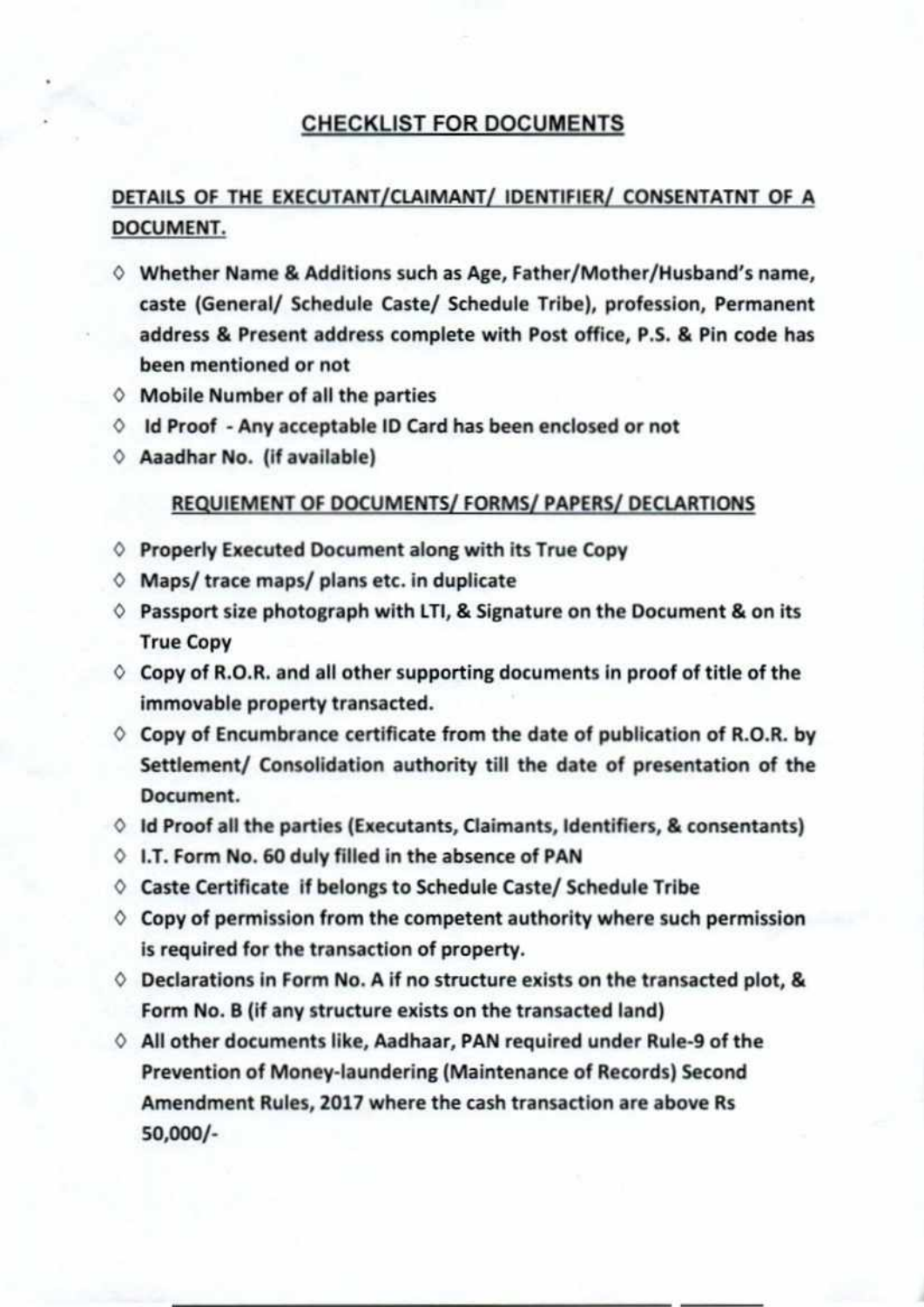## **CHECKLIST FOR DOCUMENTS**

## **DETAILS OF THE EXECUTANT/CLAIMANT/ IDENTIFIER/ CONSENTATNT OF A DOCUMENT.**

- $\diamond$  Whether Name & Additions such as Age, Father/Mother/Husband's name, caste (General/ Schedule Caste/ Schedule Tribe), profession, Permanent address & Present address complete with Post office, P.S. & Pin code has been mentioned or not
- $\diamond$  Mobile Number of all the parties
- Id Proof Any acceptable ID Card has been enclosed or not
- $\Diamond$  Aaadhar No. (if available)

#### REQUIEMENT OF DOCUMENTS/ FORMS/ PAPERS/ DECLARTIONS

- O Properly Executed Document along with its True Copy
- $\Diamond$  Maps/ trace maps/ plans etc. in duplicate
- $\Diamond$  Passport size photograph with LTI, & Signature on the Document & on its True Copy
- $\Diamond$  Copy of R.O.R. and all other supporting documents in proof of title of the immovable property transacted.
- $\Diamond$  Copy of Encumbrance certificate from the date of publication of R.O.R. by Settlement/ Consolidation authority till the date of presentation of the Document.
- **O Id** Proof all the parties (Executants, Claimants, Identifiers, & consentants)
- **O I.T.** Form No. 60 duly filled in the absence of PAN
- $\Diamond$  Caste Certificate if belongs to Schedule Caste/ Schedule Tribe
- $\Diamond$  Copy of permission from the competent authority where such permission is required for the transaction of property.
- $\Diamond$  Declarations in Form No. A if no structure exists on the transacted plot, & Form No. B (if any structure exists on the transacted land)
- 0 All other documents like, Aadhaar, PAN required under Rule-9 of the Prevention of Money-laundering (Maintenance of Records) Second Amendment Rules, 2017 where the cash transaction are above Rs 50,000/-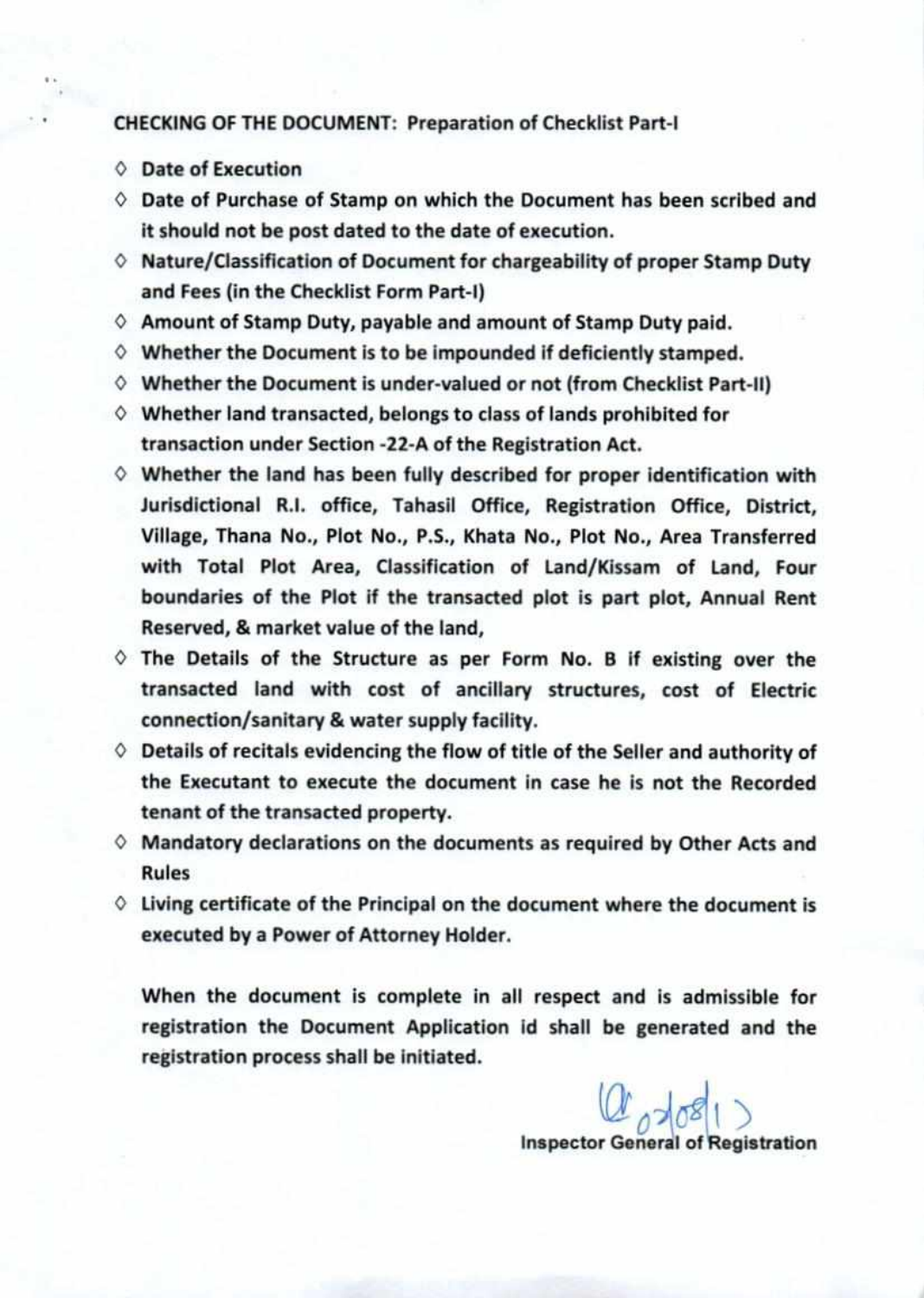#### CHECKING OF THE DOCUMENT: Preparation of Checklist Part-I

- O Date of Execution
- $\diamond$  Date of Purchase of Stamp on which the Document has been scribed and it should not be post dated to the date of execution.
- $\diamond$  Nature/Classification of Document for chargeability of proper Stamp Duty and Fees (in the Checklist Form Part-I)
- $\diamond$  Amount of Stamp Duty, payable and amount of Stamp Duty paid.
- $\diamond$  Whether the Document is to be impounded if deficiently stamped.
- $\diamond$  Whether the Document is under-valued or not (from Checklist Part-II)
- $\diamond$  Whether land transacted, belongs to class of lands prohibited for transaction under Section -22-A of the Registration Act.
- $\diamond$  Whether the land has been fully described for proper identification with Jurisdictional R.I. office, Tahasil Office, Registration Office, District, Village, Thana No., Plot No., P.S., Khata No., Plot No., Area Transferred with Total Plot Area, Classification of Land/Kissam of Land, Four boundaries of the Plot if the transacted plot is part plot, Annual Rent Reserved, & market value of the land,
- $\Diamond$  The Details of the Structure as per Form No. B if existing over the transacted land with cost of ancillary structures, cost of Electric connection/sanitary & water supply facility.
- $\diamond$  Details of recitals evidencing the flow of title of the Seller and authority of the Executant to execute the document in case he is not the Recorded tenant of the transacted property.
- $\diamond$  Mandatory declarations on the documents as required by Other Acts and Rules
- $\Diamond$  Living certificate of the Principal on the document where the document is executed by a Power of Attorney Holder.

When the document is complete in all respect and is admissible for registration the Document Application id shall be generated and the registration process shall be initiated.

> $a_{1681}$ **Inspector General of Registration**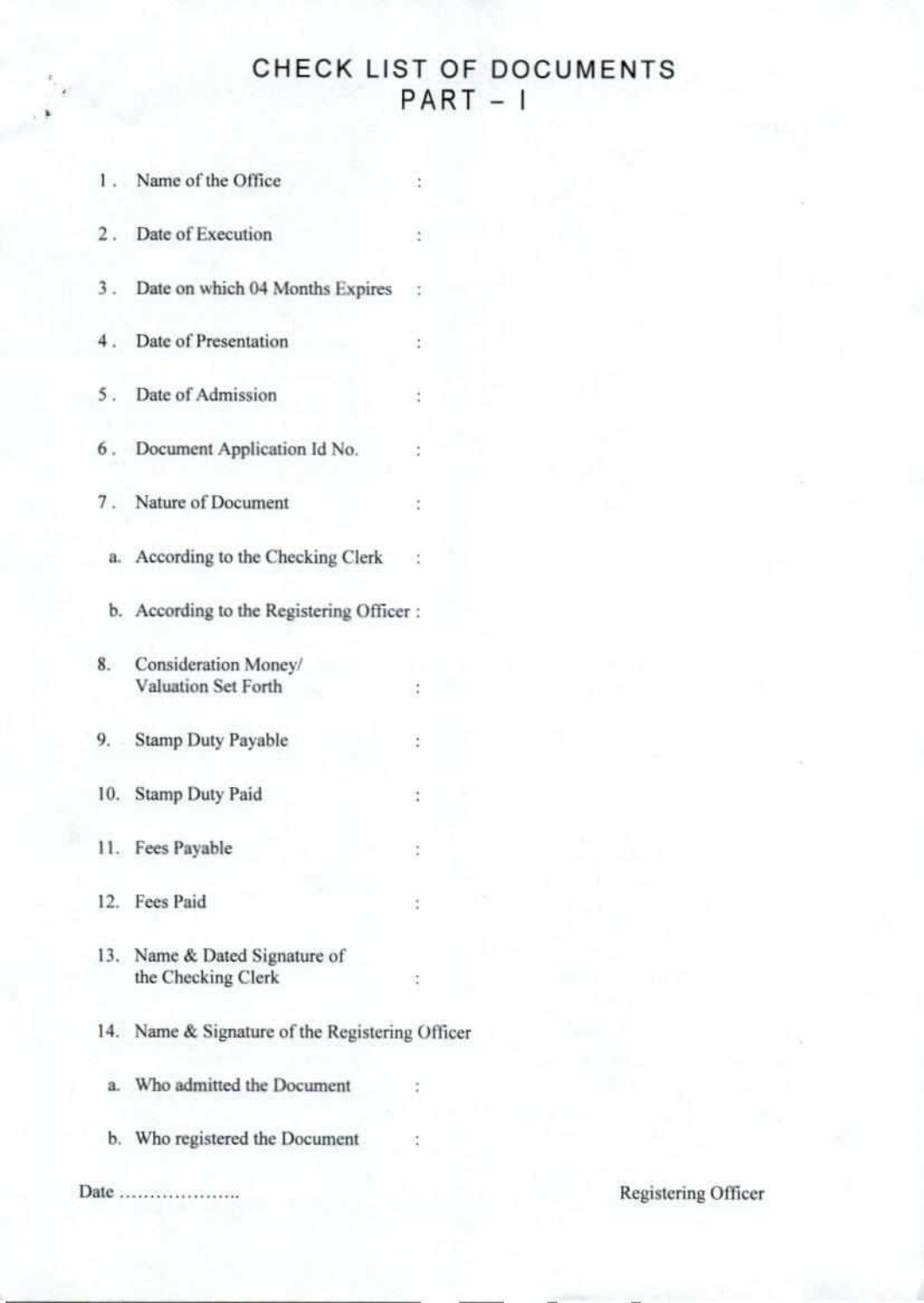## CHECK LIST OF DOCUMENTS  $PART - I$

|       | 1. Name of the Office                               | ÷             |  |                     |  |
|-------|-----------------------------------------------------|---------------|--|---------------------|--|
| 2.    | Date of Execution                                   | $\frac{1}{4}$ |  |                     |  |
| 3.    | Date on which 04 Months Expires                     |               |  |                     |  |
|       | 4. Date of Presentation                             |               |  |                     |  |
|       | 5. Date of Admission                                | đ             |  |                     |  |
|       | 6. Document Application Id No.                      |               |  |                     |  |
| 7.    | Nature of Document                                  | $\zeta$       |  |                     |  |
|       | a. According to the Checking Clerk                  | - 12          |  |                     |  |
|       | b. According to the Registering Officer :           |               |  |                     |  |
| 8.    | Consideration Money/<br>Valuation Set Forth         |               |  |                     |  |
| 9.    | <b>Stamp Duty Payable</b>                           | t             |  |                     |  |
|       | 10. Stamp Duty Paid                                 | ÷             |  |                     |  |
|       | 11. Fees Payable                                    |               |  |                     |  |
|       | 12. Fees Paid                                       | ÷             |  |                     |  |
|       | 13. Name & Dated Signature of<br>the Checking Clerk | t             |  |                     |  |
|       | 14. Name & Signature of the Registering Officer     |               |  |                     |  |
| $a$ . | Who admitted the Document                           |               |  |                     |  |
|       | b. Who registered the Document                      |               |  |                     |  |
|       | Date                                                |               |  | Registering Officer |  |